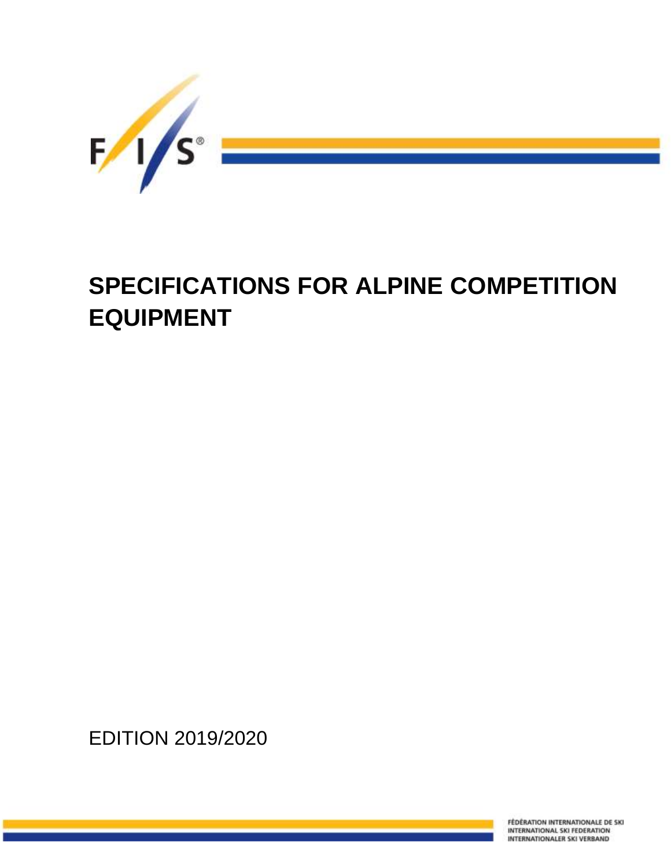

# **SPECIFICATIONS FOR ALPINE COMPETITION EQUIPMENT**

EDITION 2019/2020

**FÉDÉRATION INTERNATIONALE DE SKI** INTERNATIONAL SKI FEDERATION INTERNATIONALER SKI VERBAND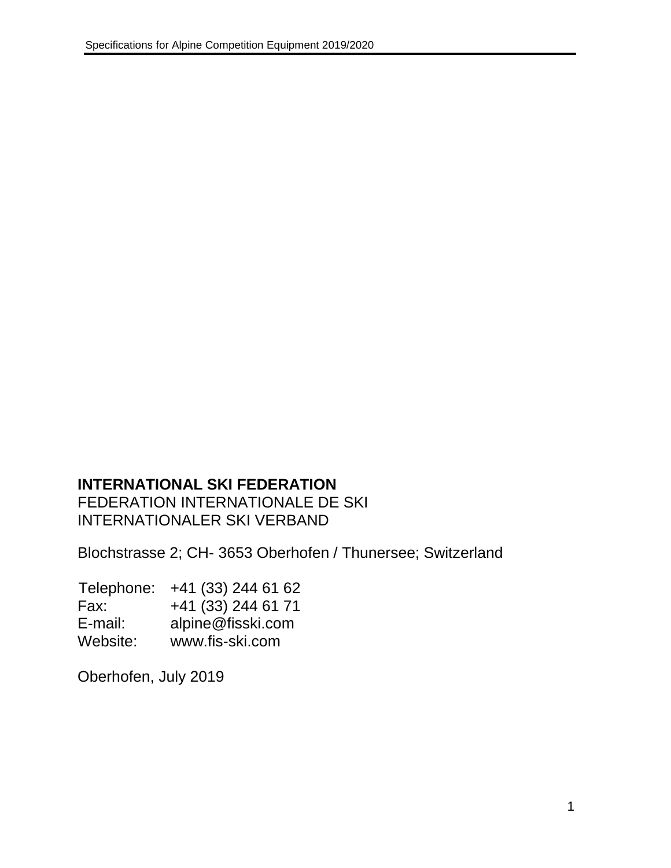# **INTERNATIONAL SKI FEDERATION**

FEDERATION INTERNATIONALE DE SKI INTERNATIONALER SKI VERBAND

Blochstrasse 2; CH- 3653 Oberhofen / Thunersee; Switzerland

| Telephone: | +41 (33) 244 61 62 |
|------------|--------------------|
| Fax:       | +41 (33) 244 61 71 |
| E-mail:    | alpine@fisski.com  |
| Website:   | www.fis-ski.com    |

Oberhofen, July 2019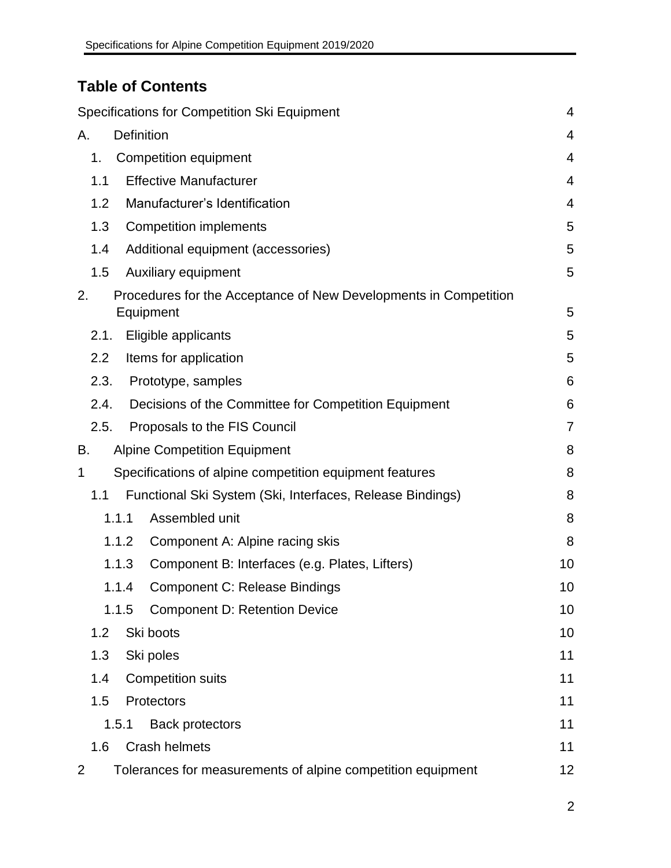# **Table of Contents**

| Specifications for Competition Ski Equipment                                        | $\overline{4}$ |
|-------------------------------------------------------------------------------------|----------------|
| <b>Definition</b><br>Α.                                                             | 4              |
| 1 <sub>1</sub><br><b>Competition equipment</b>                                      | 4              |
| <b>Effective Manufacturer</b><br>1.1                                                | 4              |
| Manufacturer's Identification<br>1.2                                                | 4              |
| 1.3<br><b>Competition implements</b>                                                | 5              |
| Additional equipment (accessories)<br>1.4                                           | 5              |
| Auxiliary equipment<br>1.5                                                          | 5              |
| 2.<br>Procedures for the Acceptance of New Developments in Competition<br>Equipment | 5              |
| Eligible applicants<br>2.1.                                                         | 5              |
| $2.2\phantom{0}$<br>Items for application                                           | 5              |
| 2.3.<br>Prototype, samples                                                          | 6              |
| Decisions of the Committee for Competition Equipment<br>2.4.                        | 6              |
| 2.5.<br>Proposals to the FIS Council                                                | $\overline{7}$ |
| <b>Alpine Competition Equipment</b><br>В.                                           | 8              |
| Specifications of alpine competition equipment features<br>1                        | 8              |
| Functional Ski System (Ski, Interfaces, Release Bindings)<br>1.1                    | 8              |
| Assembled unit<br>1.1.1                                                             | 8              |
| 1.1.2<br>Component A: Alpine racing skis                                            | 8              |
| 1.1.3<br>Component B: Interfaces (e.g. Plates, Lifters)                             | 10             |
| <b>Component C: Release Bindings</b><br>1.1.4                                       | 10             |
| <b>Component D: Retention Device</b><br>1.1.5                                       | 10             |
| 1.2<br>Ski boots                                                                    | 10             |
| 1.3<br>Ski poles                                                                    | 11             |
| 1.4<br><b>Competition suits</b>                                                     | 11             |
| 1.5<br>Protectors                                                                   | 11             |
| 1.5.1<br><b>Back protectors</b>                                                     | 11             |
| <b>Crash helmets</b><br>1.6                                                         | 11             |
| Tolerances for measurements of alpine competition equipment<br>2                    | 12             |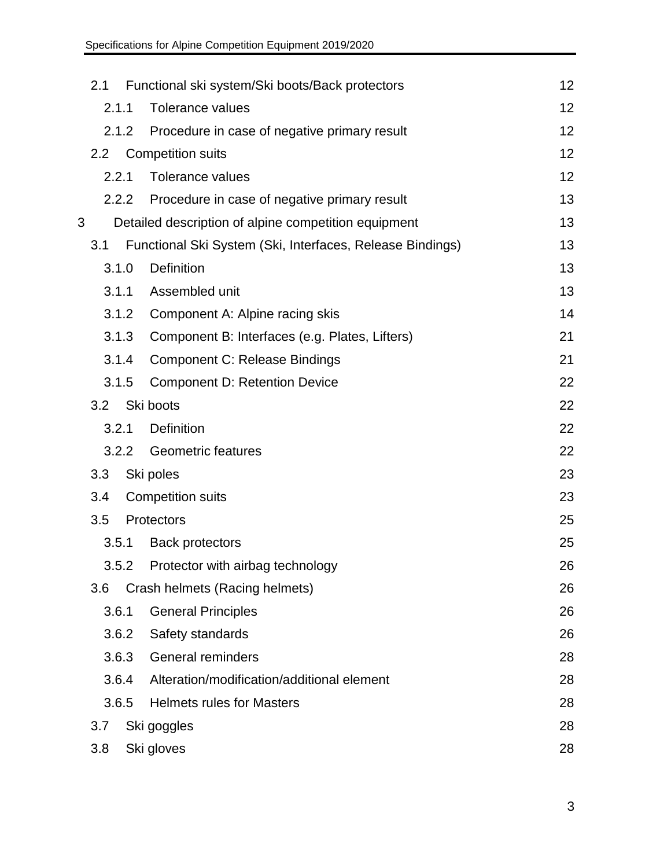|   | 2.1              |       | Functional ski system/Ski boots/Back protectors           | 12 |
|---|------------------|-------|-----------------------------------------------------------|----|
|   | 2.1.1            |       | <b>Tolerance values</b>                                   | 12 |
|   |                  | 2.1.2 | Procedure in case of negative primary result              | 12 |
|   | 2.2 <sub>2</sub> |       | <b>Competition suits</b>                                  | 12 |
|   | 2.2.1            |       | Tolerance values                                          | 12 |
|   |                  | 2.2.2 | Procedure in case of negative primary result              | 13 |
| 3 |                  |       | Detailed description of alpine competition equipment      | 13 |
|   | 3.1              |       | Functional Ski System (Ski, Interfaces, Release Bindings) | 13 |
|   |                  | 3.1.0 | Definition                                                | 13 |
|   | 3.1.1            |       | Assembled unit                                            | 13 |
|   |                  | 3.1.2 | Component A: Alpine racing skis                           | 14 |
|   |                  | 3.1.3 | Component B: Interfaces (e.g. Plates, Lifters)            | 21 |
|   |                  | 3.1.4 | <b>Component C: Release Bindings</b>                      | 21 |
|   |                  | 3.1.5 | <b>Component D: Retention Device</b>                      | 22 |
|   | 3.2              |       | Ski boots                                                 | 22 |
|   | 3.2.1            |       | Definition                                                | 22 |
|   |                  | 3.2.2 | <b>Geometric features</b>                                 | 22 |
|   | 3.3              |       | Ski poles                                                 | 23 |
|   | 3.4              |       | <b>Competition suits</b>                                  | 23 |
|   | 3.5              |       | Protectors                                                | 25 |
|   |                  | 3.5.1 | <b>Back protectors</b>                                    | 25 |
|   |                  |       | 3.5.2 Protector with airbag technology                    | 26 |
|   | 3.6              |       | Crash helmets (Racing helmets)                            | 26 |
|   | 3.6.1            |       | <b>General Principles</b>                                 | 26 |
|   |                  | 3.6.2 | Safety standards                                          | 26 |
|   |                  | 3.6.3 | <b>General reminders</b>                                  | 28 |
|   |                  | 3.6.4 | Alteration/modification/additional element                | 28 |
|   |                  | 3.6.5 | <b>Helmets rules for Masters</b>                          | 28 |
|   | 3.7              |       | Ski goggles                                               | 28 |
|   | 3.8              |       | Ski gloves                                                | 28 |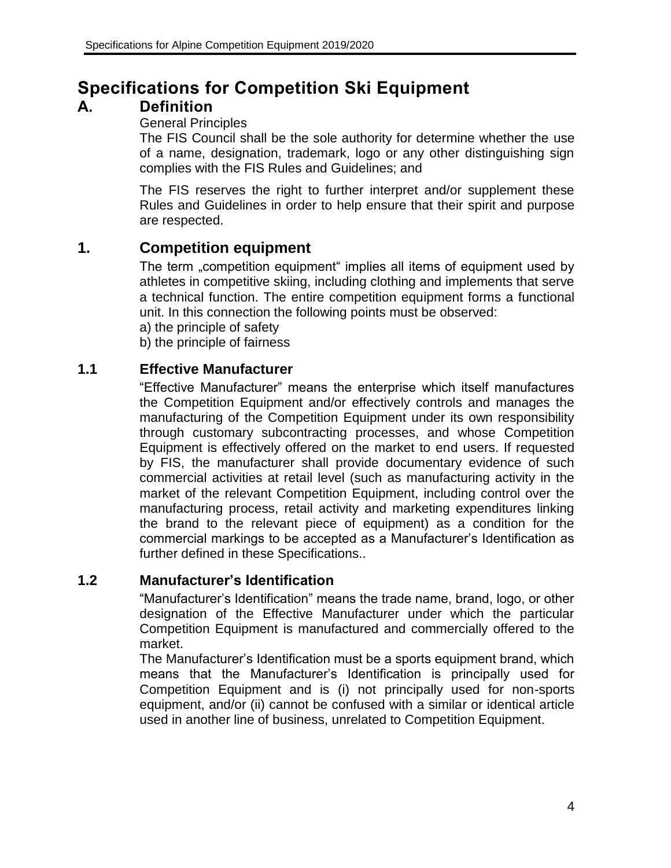# <span id="page-4-0"></span>**Specifications for Competition Ski Equipment**

# <span id="page-4-1"></span>**A. Definition**

### General Principles

The FIS Council shall be the sole authority for determine whether the use of a name, designation, trademark, logo or any other distinguishing sign complies with the FIS Rules and Guidelines; and

The FIS reserves the right to further interpret and/or supplement these Rules and Guidelines in order to help ensure that their spirit and purpose are respected.

# <span id="page-4-2"></span>**1. Competition equipment**

The term "competition equipment" implies all items of equipment used by athletes in competitive skiing, including clothing and implements that serve a technical function. The entire competition equipment forms a functional unit. In this connection the following points must be observed:

a) the principle of safety

b) the principle of fairness

### <span id="page-4-3"></span>**1.1 Effective Manufacturer**

"Effective Manufacturer" means the enterprise which itself manufactures the Competition Equipment and/or effectively controls and manages the manufacturing of the Competition Equipment under its own responsibility through customary subcontracting processes, and whose Competition Equipment is effectively offered on the market to end users. If requested by FIS, the manufacturer shall provide documentary evidence of such commercial activities at retail level (such as manufacturing activity in the market of the relevant Competition Equipment, including control over the manufacturing process, retail activity and marketing expenditures linking the brand to the relevant piece of equipment) as a condition for the commercial markings to be accepted as a Manufacturer's Identification as further defined in these Specifications..

### <span id="page-4-4"></span>**1.2 Manufacturer's Identification**

"Manufacturer's Identification" means the trade name, brand, logo, or other designation of the Effective Manufacturer under which the particular Competition Equipment is manufactured and commercially offered to the market.

The Manufacturer's Identification must be a sports equipment brand, which means that the Manufacturer's Identification is principally used for Competition Equipment and is (i) not principally used for non-sports equipment, and/or (ii) cannot be confused with a similar or identical article used in another line of business, unrelated to Competition Equipment.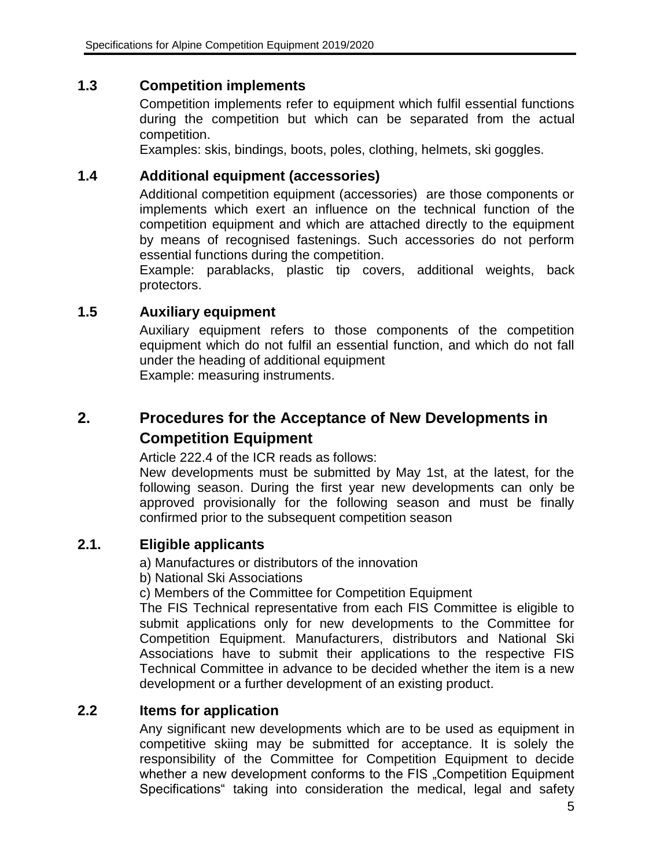### <span id="page-5-0"></span>**1.3 Competition implements**

Competition implements refer to equipment which fulfil essential functions during the competition but which can be separated from the actual competition.

Examples: skis, bindings, boots, poles, clothing, helmets, ski goggles.

### <span id="page-5-1"></span>**1.4 Additional equipment (accessories)**

Additional competition equipment (accessories) are those components or implements which exert an influence on the technical function of the competition equipment and which are attached directly to the equipment by means of recognised fastenings. Such accessories do not perform essential functions during the competition.

Example: parablacks, plastic tip covers, additional weights, back protectors.

### <span id="page-5-2"></span>**1.5 Auxiliary equipment**

Auxiliary equipment refers to those components of the competition equipment which do not fulfil an essential function, and which do not fall under the heading of additional equipment Example: measuring instruments.

# <span id="page-5-3"></span>**2. Procedures for the Acceptance of New Developments in Competition Equipment**

Article 222.4 of the ICR reads as follows:

New developments must be submitted by May 1st, at the latest, for the following season. During the first year new developments can only be approved provisionally for the following season and must be finally confirmed prior to the subsequent competition season

### <span id="page-5-4"></span>**2.1. Eligible applicants**

a) Manufactures or distributors of the innovation

b) National Ski Associations

c) Members of the Committee for Competition Equipment

The FIS Technical representative from each FIS Committee is eligible to submit applications only for new developments to the Committee for Competition Equipment. Manufacturers, distributors and National Ski Associations have to submit their applications to the respective FIS Technical Committee in advance to be decided whether the item is a new development or a further development of an existing product.

### <span id="page-5-5"></span>**2.2 Items for application**

Any significant new developments which are to be used as equipment in competitive skiing may be submitted for acceptance. It is solely the responsibility of the Committee for Competition Equipment to decide whether a new development conforms to the FIS "Competition Equipment Specifications" taking into consideration the medical, legal and safety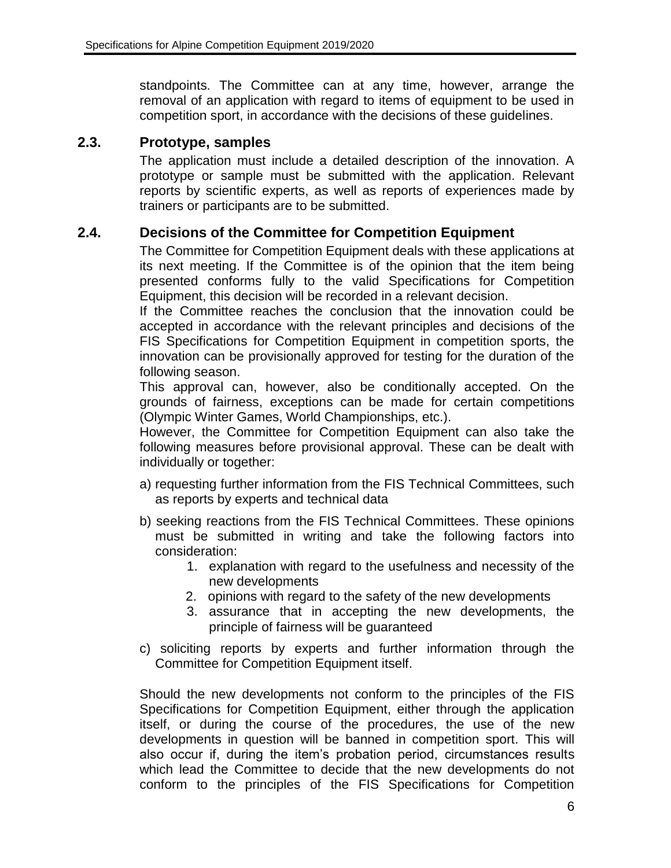standpoints. The Committee can at any time, however, arrange the removal of an application with regard to items of equipment to be used in competition sport, in accordance with the decisions of these guidelines.

### <span id="page-6-0"></span>**2.3. Prototype, samples**

The application must include a detailed description of the innovation. A prototype or sample must be submitted with the application. Relevant reports by scientific experts, as well as reports of experiences made by trainers or participants are to be submitted.

### <span id="page-6-1"></span>**2.4. Decisions of the Committee for Competition Equipment**

The Committee for Competition Equipment deals with these applications at its next meeting. If the Committee is of the opinion that the item being presented conforms fully to the valid Specifications for Competition Equipment, this decision will be recorded in a relevant decision.

If the Committee reaches the conclusion that the innovation could be accepted in accordance with the relevant principles and decisions of the FIS Specifications for Competition Equipment in competition sports, the innovation can be provisionally approved for testing for the duration of the following season.

This approval can, however, also be conditionally accepted. On the grounds of fairness, exceptions can be made for certain competitions (Olympic Winter Games, World Championships, etc.).

However, the Committee for Competition Equipment can also take the following measures before provisional approval. These can be dealt with individually or together:

- a) requesting further information from the FIS Technical Committees, such as reports by experts and technical data
- b) seeking reactions from the FIS Technical Committees. These opinions must be submitted in writing and take the following factors into consideration:
	- 1. explanation with regard to the usefulness and necessity of the new developments
	- 2. opinions with regard to the safety of the new developments
	- 3. assurance that in accepting the new developments, the principle of fairness will be guaranteed
- c) soliciting reports by experts and further information through the Committee for Competition Equipment itself.

Should the new developments not conform to the principles of the FIS Specifications for Competition Equipment, either through the application itself, or during the course of the procedures, the use of the new developments in question will be banned in competition sport. This will also occur if, during the item's probation period, circumstances results which lead the Committee to decide that the new developments do not conform to the principles of the FIS Specifications for Competition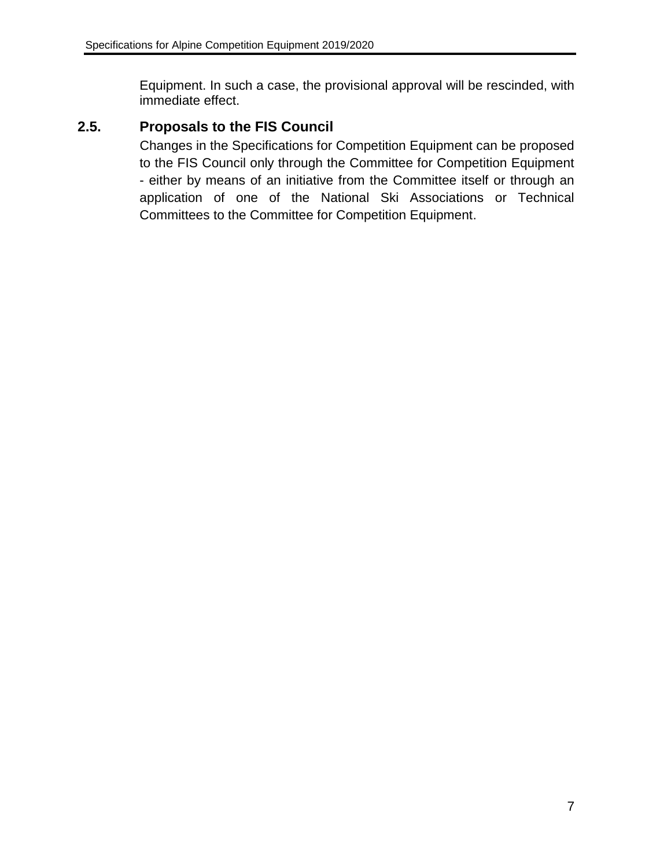Equipment. In such a case, the provisional approval will be rescinded, with immediate effect.

### <span id="page-7-0"></span>**2.5. Proposals to the FIS Council**

Changes in the Specifications for Competition Equipment can be proposed to the FIS Council only through the Committee for Competition Equipment - either by means of an initiative from the Committee itself or through an application of one of the National Ski Associations or Technical Committees to the Committee for Competition Equipment.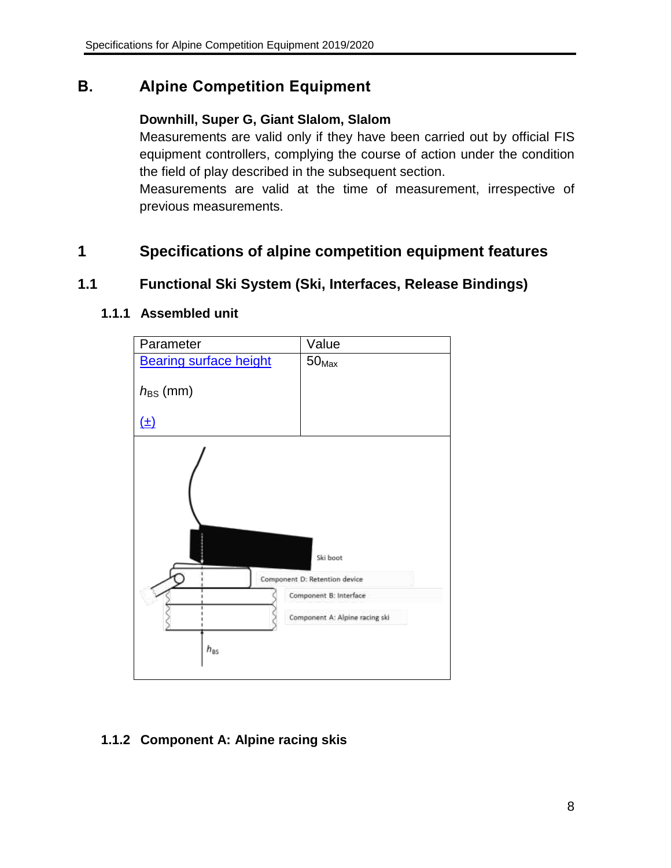# <span id="page-8-0"></span>**B. Alpine Competition Equipment**

### **Downhill, Super G, Giant Slalom, Slalom**

Measurements are valid only if they have been carried out by official FIS equipment controllers, complying the course of action under the condition the field of play described in the subsequent section.

Measurements are valid at the time of measurement, irrespective of previous measurements.

# <span id="page-8-1"></span>**1 Specifications of alpine competition equipment features**

### <span id="page-8-3"></span><span id="page-8-2"></span>**1.1 Functional Ski System (Ski, Interfaces, Release Bindings)**

### **1.1.1 Assembled unit**



### <span id="page-8-4"></span>**1.1.2 Component A: Alpine racing skis**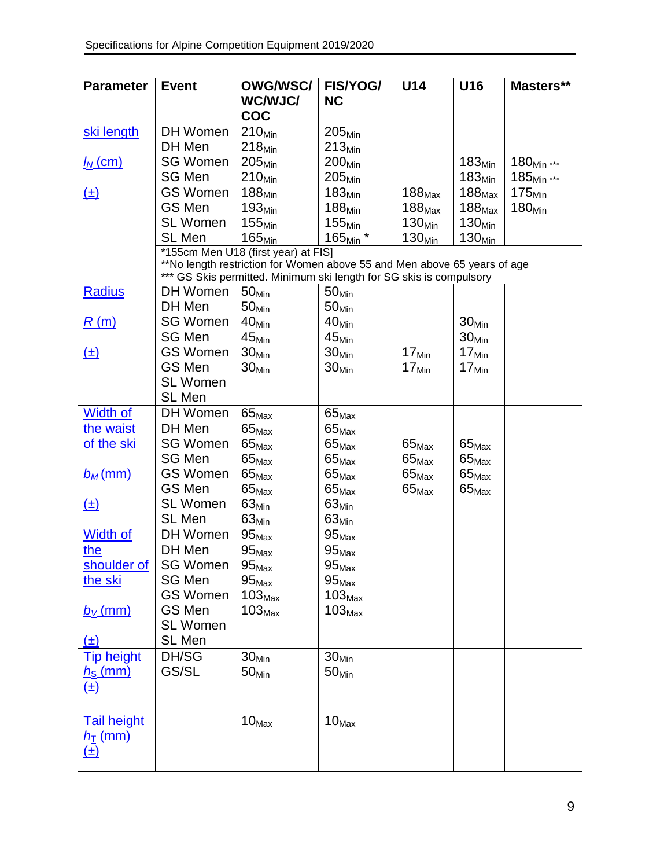| <b>Parameter</b>          | <b>Event</b>              | <b>OWG/WSC/</b>                                                          | <b>FIS/YOG/</b>                        | U14                | U16                | Masters**              |
|---------------------------|---------------------------|--------------------------------------------------------------------------|----------------------------------------|--------------------|--------------------|------------------------|
|                           |                           | WC/WJC/<br><b>COC</b>                                                    | <b>NC</b>                              |                    |                    |                        |
| ski length                | DH Women                  | $210_{Min}$                                                              | 205 <sub>Min</sub>                     |                    |                    |                        |
|                           | DH Men                    | $218_{Min}$                                                              | $213_{Min}$                            |                    |                    |                        |
| <u>I<sub>N</sub> (cm)</u> | SG Women                  | $205_{Min}$                                                              | 200 <sub>Min</sub>                     |                    | $183_{Min}$        | $180_{Min}$ ***        |
|                           | SG Men                    | $210_{Min}$                                                              | $205_{Min}$                            |                    | 183 <sub>Min</sub> | 185 <sub>Min</sub> *** |
| <u>(±)</u>                | <b>GS Women</b>           | 188 <sub>Min</sub>                                                       | 183 <sub>Min</sub>                     | $188_{\text{Max}}$ | $188_{\text{Max}}$ | 175 <sub>Min</sub>     |
|                           | <b>GS Men</b>             | $193_{Min}$                                                              | 188 <sub>Min</sub>                     | $188_{\text{Max}}$ | $188_{\text{Max}}$ | 180 <sub>Min</sub>     |
|                           | <b>SL Women</b>           | 155 <sub>Min</sub>                                                       | 155 <sub>Min</sub>                     | 130 <sub>Min</sub> | 130 <sub>Min</sub> |                        |
|                           | SL Men                    | $165_{Min}$                                                              | 165 <sub>Min</sub> *                   | $130_{Min}$        | 130 <sub>Min</sub> |                        |
|                           |                           | *155cm Men U18 (first year) at FIS]                                      |                                        |                    |                    |                        |
|                           |                           | **No length restriction for Women above 55 and Men above 65 years of age |                                        |                    |                    |                        |
|                           | ***                       | GS Skis permitted. Minimum ski length for SG skis is compulsory          |                                        |                    |                    |                        |
| <b>Radius</b>             | DH Women                  | 50 <sub>Min</sub>                                                        | 50 <sub>Min</sub>                      |                    |                    |                        |
|                           | DH Men                    | 50 <sub>Min</sub>                                                        | 50 <sub>Min</sub>                      |                    |                    |                        |
| R(m)                      | <b>SG Women</b>           | 40 <sub>Min</sub>                                                        | 40 <sub>Min</sub>                      |                    | 30 <sub>Min</sub>  |                        |
|                           | <b>SG Men</b>             | $45_{Min}$                                                               | $45_{Min}$                             |                    | 30 <sub>Min</sub>  |                        |
| <u>(±)</u>                | <b>GS Women</b><br>GS Men | 30 <sub>Min</sub>                                                        | 30 <sub>Min</sub>                      | 17 <sub>Min</sub>  | $17_{\text{Min}}$  |                        |
|                           | <b>SL Women</b>           | 30 <sub>Min</sub>                                                        | 30 <sub>Min</sub>                      | $17_{\text{Min}}$  | $17_{Min}$         |                        |
|                           | SL Men                    |                                                                          |                                        |                    |                    |                        |
| <b>Width of</b>           | DH Women                  |                                                                          |                                        |                    |                    |                        |
| the waist                 | DH Men                    | $65_{\text{Max}}$<br>$65_{\text{Max}}$                                   | $65_{\text{Max}}$<br>$65_{\text{Max}}$ |                    |                    |                        |
| of the ski                | <b>SG Women</b>           | $65_{\text{Max}}$                                                        | $65_{\text{Max}}$                      | $65_{\text{Max}}$  | $65_{\text{Max}}$  |                        |
|                           | <b>SG Men</b>             | $65_{\text{Max}}$                                                        | $65_{\text{Max}}$                      | $65_{\text{Max}}$  | $65_{\text{Max}}$  |                        |
| $b_M$ (mm)                | <b>GS Women</b>           | $65_{\text{Max}}$                                                        | $65_{\text{Max}}$                      | $65_{\text{Max}}$  | $65_{\text{Max}}$  |                        |
|                           | GS Men                    | $65_{\text{Max}}$                                                        | $65_{\text{Max}}$                      | $65_{\text{Max}}$  | $65_{\text{Max}}$  |                        |
| <u>(±)</u>                | <b>SL Women</b>           | $63_{Min}$                                                               | $63_{Min}$                             |                    |                    |                        |
|                           | SL Men                    | 63 <sub>Min</sub>                                                        | $63_{Min}$                             |                    |                    |                        |
| <b>Width of</b>           | DH Women                  | $95_{\textrm{Max}}$                                                      | $95_{\text{Max}}$                      |                    |                    |                        |
| the                       | DH Men                    | $95_{\text{Max}}$                                                        | $95_{\text{Max}}$                      |                    |                    |                        |
|                           | shoulder of SG Women      | $95_{\text{Max}}$                                                        | $95_{\text{Max}}$                      |                    |                    |                        |
| the ski                   | SG Men                    | $95_{\text{Max}}$                                                        | $95_{\text{Max}}$                      |                    |                    |                        |
|                           | <b>GS Women</b>           | $103_{\text{Max}}$                                                       | $103_{\text{Max}}$                     |                    |                    |                        |
| $b_V$ (mm)                | GS Men                    | $103_{\text{Max}}$                                                       | $103_{\text{Max}}$                     |                    |                    |                        |
|                           | <b>SL Women</b>           |                                                                          |                                        |                    |                    |                        |
| $(\pm)$                   | SL Men                    |                                                                          |                                        |                    |                    |                        |
| <b>Tip height</b>         | DH/SG                     | 30 <sub>Min</sub>                                                        | 30 <sub>Min</sub>                      |                    |                    |                        |
| $h_{\rm S}$ (mm)          | GS/SL                     | 50 <sub>Min</sub>                                                        | 50 <sub>Min</sub>                      |                    |                    |                        |
| <u>(±)</u>                |                           |                                                                          |                                        |                    |                    |                        |
|                           |                           |                                                                          |                                        |                    |                    |                        |
| <b>Tail height</b>        |                           | 10 <sub>Max</sub>                                                        | $10_{\text{Max}}$                      |                    |                    |                        |
| $h$ <sub>T</sub> (mm)     |                           |                                                                          |                                        |                    |                    |                        |
| <u>(±)</u>                |                           |                                                                          |                                        |                    |                    |                        |
|                           |                           |                                                                          |                                        |                    |                    |                        |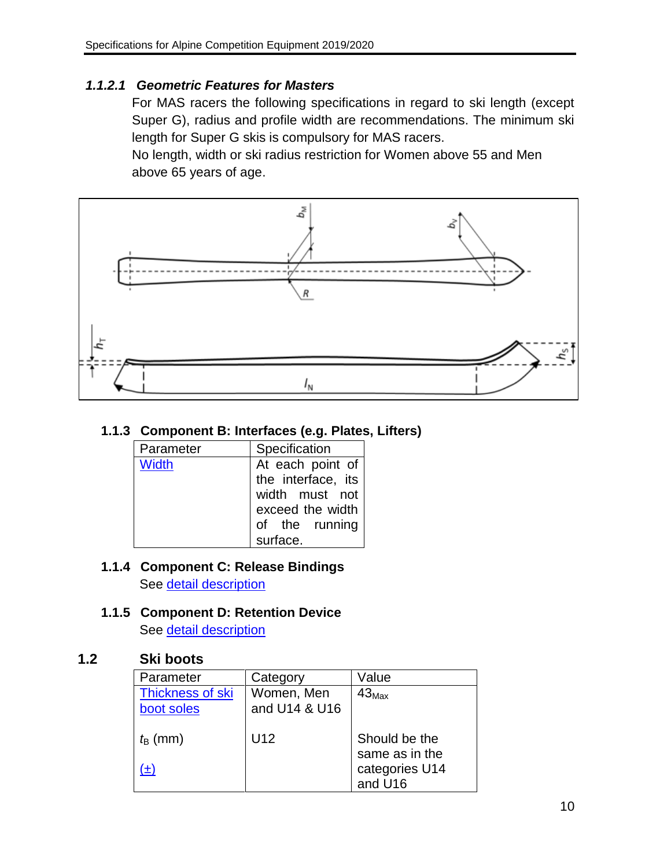### *1.1.2.1 Geometric Features for Masters*

For MAS racers the following specifications in regard to ski length (except Super G), radius and profile width are recommendations. The minimum ski length for Super G skis is compulsory for MAS racers.

No length, width or ski radius restriction for Women above 55 and Men above 65 years of age.



### <span id="page-10-0"></span>**1.1.3 Component B: Interfaces (e.g. Plates, Lifters)**

| Parameter | Specification                                                                                  |
|-----------|------------------------------------------------------------------------------------------------|
| Width     | At each point of<br>the interface, its<br>width must not<br>exceed the width<br>of the running |
|           | surface.                                                                                       |

#### <span id="page-10-1"></span>**1.1.4 Component C: Release Bindings** See [detail description](#page-21-1)

# <span id="page-10-2"></span>**1.1.5 Component D: Retention Device**

See [detail description](#page-22-0)

### <span id="page-10-3"></span>**1.2 Ski boots**

| Parameter        | Category        | Value             |
|------------------|-----------------|-------------------|
| Thickness of ski | Women, Men      | $43_{\text{Max}}$ |
| boot soles       | and U14 & U16   |                   |
|                  |                 |                   |
| $t_{\rm B}$ (mm) | U <sub>12</sub> | Should be the     |
|                  |                 | same as in the    |
| (±)              |                 | categories U14    |
|                  |                 | and U16           |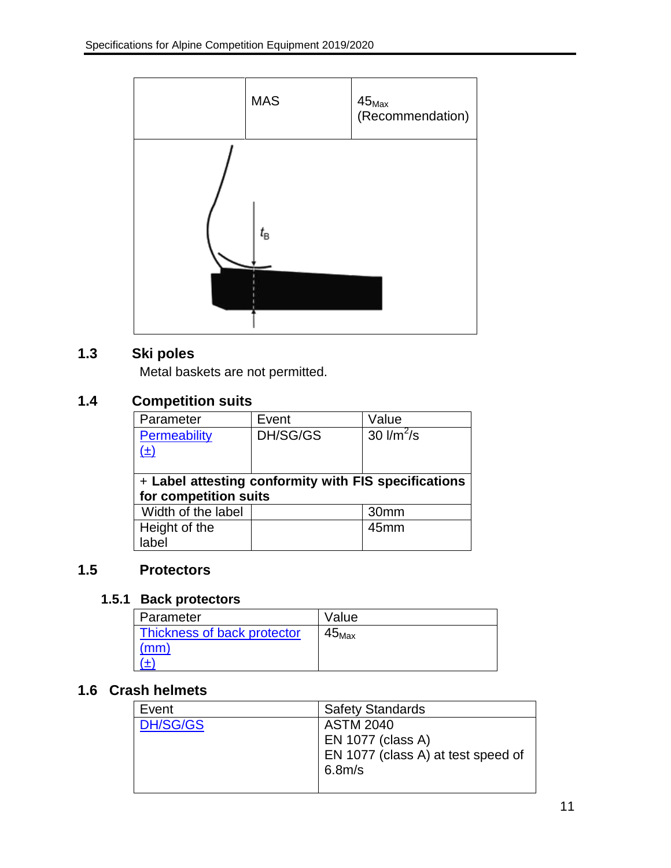

# <span id="page-11-0"></span>**1.3 Ski poles**

Metal baskets are not permitted.

# <span id="page-11-1"></span>**1.4 Competition suits**

| Parameter                                            | Event    | Value         |  |  |
|------------------------------------------------------|----------|---------------|--|--|
| <b>Permeability</b>                                  | DH/SG/GS | 30 $1/m^2$ /s |  |  |
| $(\pm)$                                              |          |               |  |  |
|                                                      |          |               |  |  |
| + Label attesting conformity with FIS specifications |          |               |  |  |
| for competition suits                                |          |               |  |  |
| Width of the label                                   |          | 30mm          |  |  |
| Height of the                                        |          | 45mm          |  |  |
|                                                      |          |               |  |  |

# <span id="page-11-3"></span><span id="page-11-2"></span>**1.5 Protectors**

### **1.5.1 Back protectors**

| l Parameter                 | Value           |
|-----------------------------|-----------------|
| Thickness of back protector | $45_{\rm{Max}}$ |
| (mm)                        |                 |
|                             |                 |

# <span id="page-11-4"></span>**1.6 Crash helmets**

| Event           | <b>Safety Standards</b>                      |
|-----------------|----------------------------------------------|
| <b>DH/SG/GS</b> | <b>ASTM 2040</b><br>EN 1077 (class A)        |
|                 | EN 1077 (class A) at test speed of<br>6.8m/s |
|                 |                                              |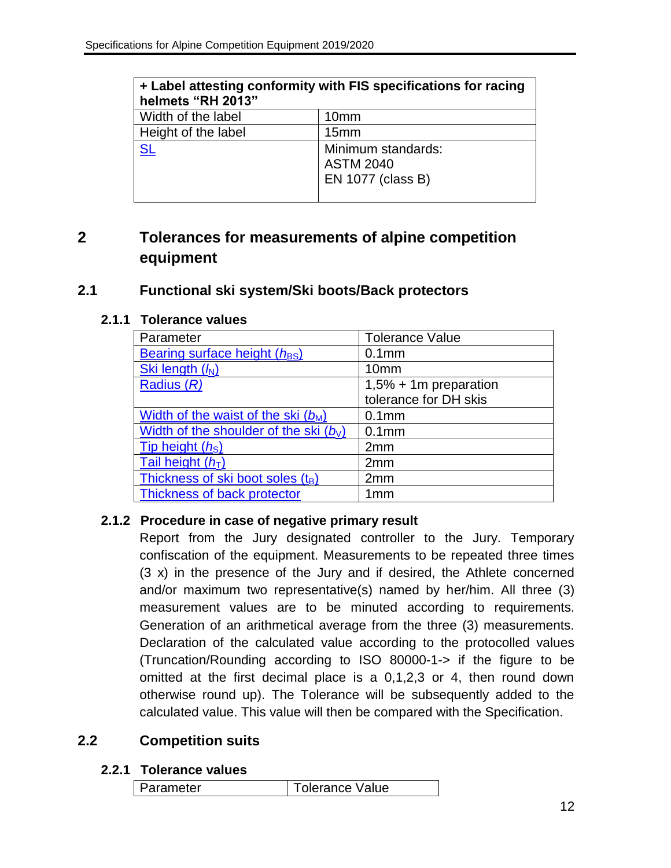| + Label attesting conformity with FIS specifications for racing<br>helmets "RH 2013" |                                                             |  |
|--------------------------------------------------------------------------------------|-------------------------------------------------------------|--|
| Width of the label                                                                   | 10 <sub>mm</sub>                                            |  |
| Height of the label                                                                  | 15 <sub>mm</sub>                                            |  |
| <b>SL</b>                                                                            | Minimum standards:<br><b>ASTM 2040</b><br>EN 1077 (class B) |  |

# <span id="page-12-0"></span>**2 Tolerances for measurements of alpine competition equipment**

### <span id="page-12-2"></span><span id="page-12-1"></span>**2.1 Functional ski system/Ski boots/Back protectors**

### **2.1.1 Tolerance values**

| Parameter                                | <b>Tolerance Value</b>  |
|------------------------------------------|-------------------------|
| Bearing surface height $(h_{BS})$        | 0.1 <sub>mm</sub>       |
| Ski length (M)                           | 10 <sub>mm</sub>        |
| Radius $(R)$                             | $1,5% + 1m$ preparation |
|                                          | tolerance for DH skis   |
| Width of the waist of the ski $(b_M)$    | 0.1 <sub>mm</sub>       |
| Width of the shoulder of the ski $(b_1)$ | 0.1 <sub>mm</sub>       |
| Tip height (hs)                          | 2 <sub>mm</sub>         |
| Tail height $(hT)$                       | 2 <sub>mm</sub>         |
| Thickness of ski boot soles (tB)         | 2mm                     |
| Thickness of back protector              | 1mm                     |

### <span id="page-12-3"></span>**2.1.2 Procedure in case of negative primary result**

Report from the Jury designated controller to the Jury. Temporary confiscation of the equipment. Measurements to be repeated three times (3 x) in the presence of the Jury and if desired, the Athlete concerned and/or maximum two representative(s) named by her/him. All three (3) measurement values are to be minuted according to requirements. Generation of an arithmetical average from the three (3) measurements. Declaration of the calculated value according to the protocolled values (Truncation/Rounding according to ISO 80000-1-> if the figure to be omitted at the first decimal place is a 0,1,2,3 or 4, then round down otherwise round up). The Tolerance will be subsequently added to the calculated value. This value will then be compared with the Specification.

### <span id="page-12-5"></span><span id="page-12-4"></span>**2.2 Competition suits**

#### **2.2.1 Tolerance values**

| Parameter | <sup>1</sup> Tolerance Value |
|-----------|------------------------------|
|-----------|------------------------------|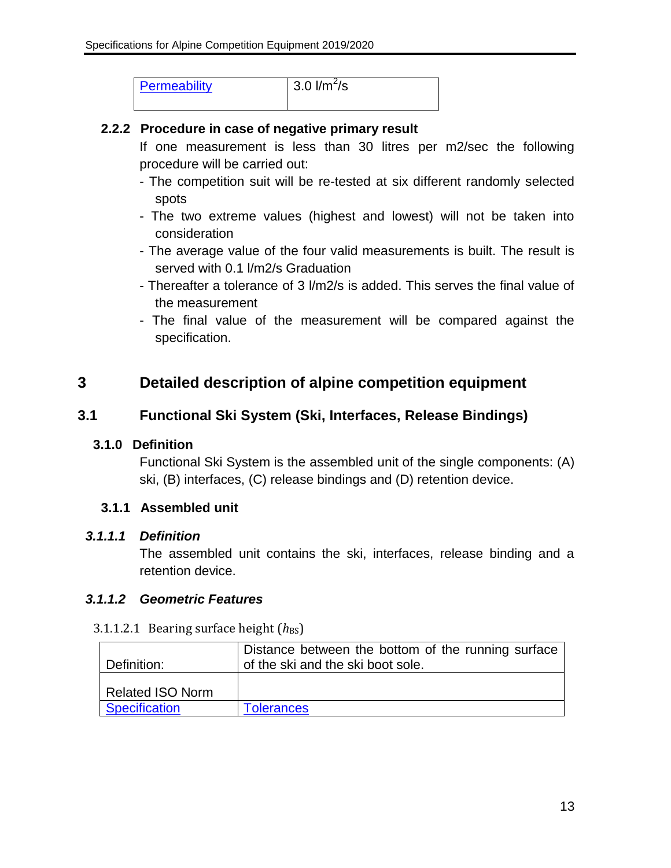| Permeability | $3.0$ $\frac{\text{m}^2}{\text{s}}$ |  |
|--------------|-------------------------------------|--|
|              |                                     |  |

### <span id="page-13-0"></span>**2.2.2 Procedure in case of negative primary result**

If one measurement is less than 30 litres per m2/sec the following procedure will be carried out:

- The competition suit will be re-tested at six different randomly selected spots
- The two extreme values (highest and lowest) will not be taken into consideration
- The average value of the four valid measurements is built. The result is served with 0.1 I/m2/s Graduation
- Thereafter a tolerance of 3 l/m2/s is added. This serves the final value of the measurement
- The final value of the measurement will be compared against the specification.

# <span id="page-13-1"></span>**3 Detailed description of alpine competition equipment**

### <span id="page-13-3"></span><span id="page-13-2"></span>**3.1 Functional Ski System (Ski, Interfaces, Release Bindings)**

### **3.1.0 Definition**

Functional Ski System is the assembled unit of the single components: (A) ski, (B) interfaces, (C) release bindings and (D) retention device.

### <span id="page-13-4"></span>**3.1.1 Assembled unit**

### <span id="page-13-5"></span>*3.1.1.1 Definition*

The assembled unit contains the ski, interfaces, release binding and a retention device.

### <span id="page-13-6"></span>*3.1.1.2 Geometric Features*

#### 3.1.1.2.1 Bearing surface height ( $h_{BS}$ )

| Definition:             | Distance between the bottom of the running surface<br>of the ski and the ski boot sole. |
|-------------------------|-----------------------------------------------------------------------------------------|
| <b>Related ISO Norm</b> |                                                                                         |
| Specification           | <b>Tolerances</b>                                                                       |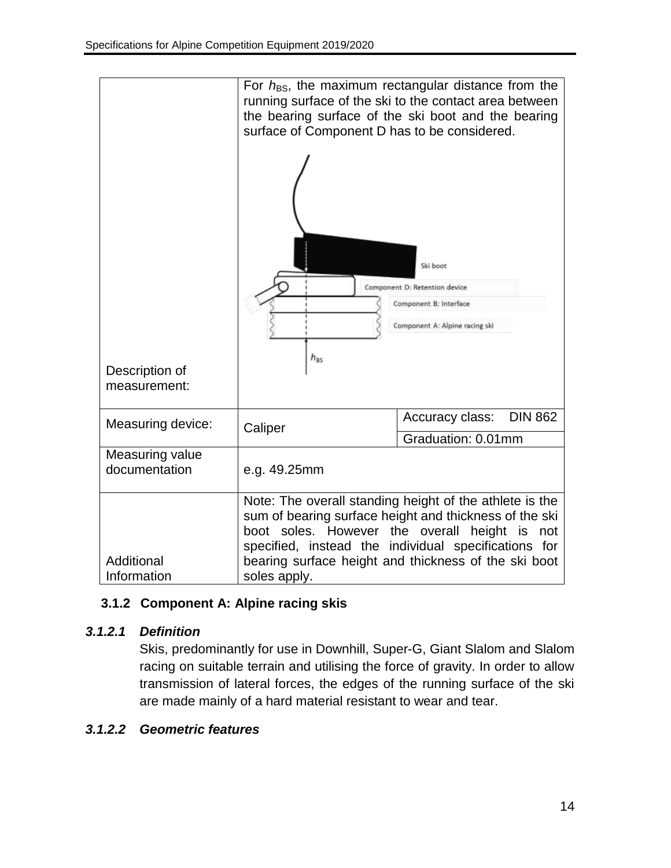

### <span id="page-14-0"></span>**3.1.2 Component A: Alpine racing skis**

### *3.1.2.1 Definition*

Skis, predominantly for use in Downhill, Super-G, Giant Slalom and Slalom racing on suitable terrain and utilising the force of gravity. In order to allow transmission of lateral forces, the edges of the running surface of the ski are made mainly of a hard material resistant to wear and tear.

### *3.1.2.2 Geometric features*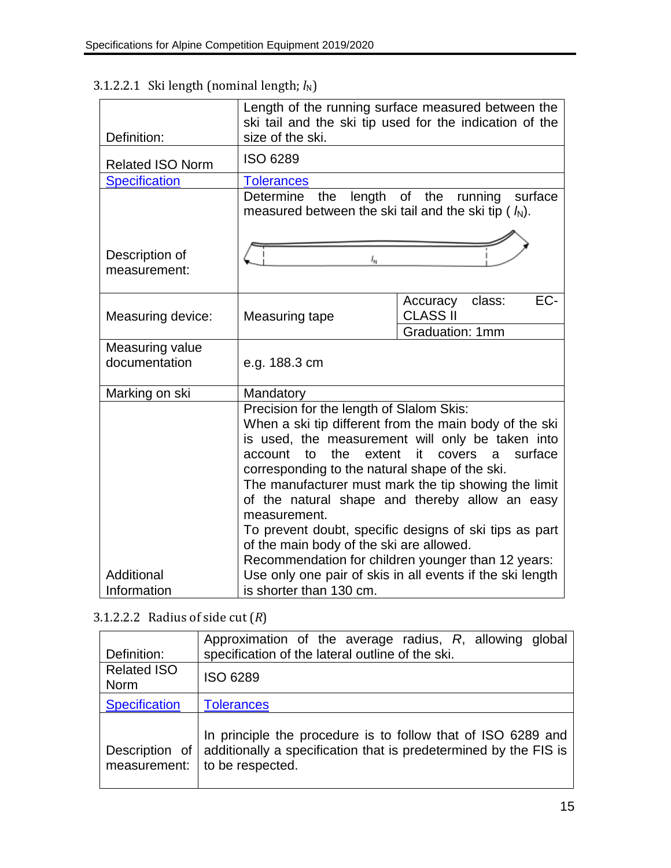|                                | Length of the running surface measured between the<br>ski tail and the ski tip used for the indication of the                                                                                                                                                                                                                                                                                                                                                                                                                                                               |                                              |
|--------------------------------|-----------------------------------------------------------------------------------------------------------------------------------------------------------------------------------------------------------------------------------------------------------------------------------------------------------------------------------------------------------------------------------------------------------------------------------------------------------------------------------------------------------------------------------------------------------------------------|----------------------------------------------|
| Definition:                    | size of the ski.                                                                                                                                                                                                                                                                                                                                                                                                                                                                                                                                                            |                                              |
| <b>Related ISO Norm</b>        | <b>ISO 6289</b>                                                                                                                                                                                                                                                                                                                                                                                                                                                                                                                                                             |                                              |
| <b>Specification</b>           | <b>Tolerances</b>                                                                                                                                                                                                                                                                                                                                                                                                                                                                                                                                                           |                                              |
|                                | length of the running surface<br>Determine the<br>measured between the ski tail and the ski tip ( $\mathcal{h}$ ).                                                                                                                                                                                                                                                                                                                                                                                                                                                          |                                              |
| Description of<br>measurement: | $I_{\sf N}$                                                                                                                                                                                                                                                                                                                                                                                                                                                                                                                                                                 |                                              |
| Measuring device:              | Measuring tape                                                                                                                                                                                                                                                                                                                                                                                                                                                                                                                                                              | EC-<br>class:<br>Accuracy<br><b>CLASS II</b> |
|                                |                                                                                                                                                                                                                                                                                                                                                                                                                                                                                                                                                                             | <b>Graduation: 1mm</b>                       |
| Measuring value                |                                                                                                                                                                                                                                                                                                                                                                                                                                                                                                                                                                             |                                              |
| documentation                  | e.g. 188.3 cm                                                                                                                                                                                                                                                                                                                                                                                                                                                                                                                                                               |                                              |
| Marking on ski                 | Mandatory                                                                                                                                                                                                                                                                                                                                                                                                                                                                                                                                                                   |                                              |
| Additional                     | Precision for the length of Slalom Skis:<br>When a ski tip different from the main body of the ski<br>is used, the measurement will only be taken into<br>the<br>extent<br>it<br>covers<br>surface<br>account<br>to<br><sub>a</sub><br>corresponding to the natural shape of the ski.<br>The manufacturer must mark the tip showing the limit<br>of the natural shape and thereby allow an easy<br>measurement.<br>To prevent doubt, specific designs of ski tips as part<br>of the main body of the ski are allowed.<br>Recommendation for children younger than 12 years: |                                              |
| Information                    | Use only one pair of skis in all events if the ski length<br>is shorter than 130 cm.                                                                                                                                                                                                                                                                                                                                                                                                                                                                                        |                                              |
|                                |                                                                                                                                                                                                                                                                                                                                                                                                                                                                                                                                                                             |                                              |

# <span id="page-15-0"></span>3.1.2.2.1 Ski length (nominal length;  $l_N$ )

# <span id="page-15-1"></span>3.1.2.2.2 Radius of side cut (*R*)

| Definition:                       | Approximation of the average radius, R, allowing global<br>specification of the lateral outline of the ski.                                                                 |  |
|-----------------------------------|-----------------------------------------------------------------------------------------------------------------------------------------------------------------------------|--|
| <b>Related ISO</b><br><b>Norm</b> | <b>ISO 6289</b>                                                                                                                                                             |  |
| <b>Specification</b>              | <b>Tolerances</b>                                                                                                                                                           |  |
| measurement:                      | In principle the procedure is to follow that of ISO 6289 and<br>Description of $\vert$ additionally a specification that is predetermined by the FIS is<br>to be respected. |  |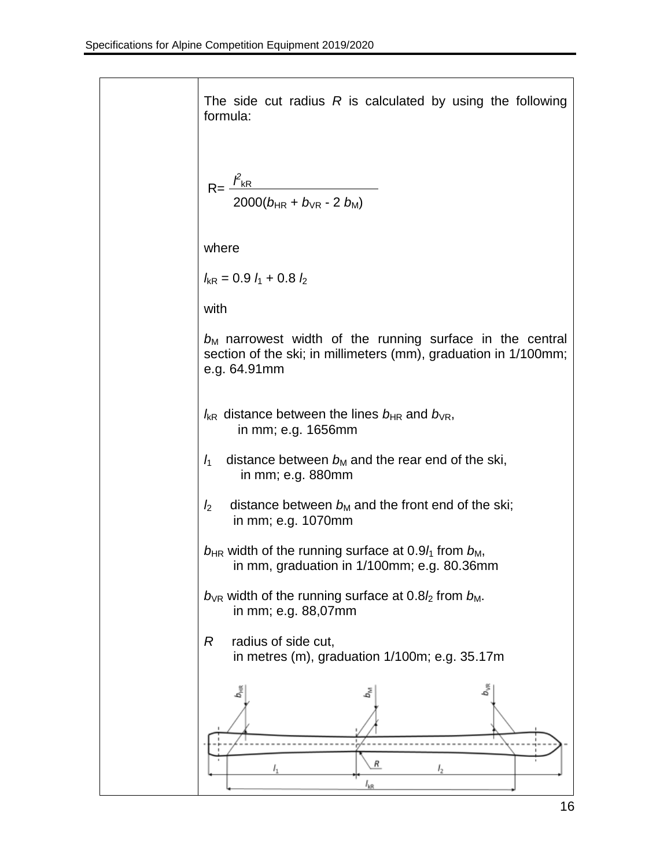The side cut radius *R* is calculated by using the following formula:  $R = \frac{\hat{f}_{kR}}{2}$  $2000(b_{HR} + b_{VR} - 2 b_M)$ where  $l_{\rm kR}$  = 0.9  $l_1$  + 0.8  $l_2$ with  $b_M$  narrowest width of the running surface in the central section of the ski; in millimeters (mm), graduation in 1/100mm; e.g. 64.91mm  $l_{\rm kR}$  distance between the lines  $b_{\rm HR}$  and  $b_{\rm VR}$ , in mm; e.g. 1656mm  $l_1$  distance between  $b_M$  and the rear end of the ski, in mm; e.g. 880mm  $l_2$  distance between  $b_M$  and the front end of the ski; in mm; e.g. 1070mm  $b_{HR}$  width of the running surface at 0.9 $l_1$  from  $b_M$ , in mm, graduation in 1/100mm; e.g. 80.36mm  $b_{VR}$  width of the running surface at 0.8 $l_2$  from  $b_M$ . in mm; e.g. 88,07mm *R* radius of side cut, in metres (m), graduation 1/100m; e.g. 35.17m**b** m<br>P R  $I_{k\Re}$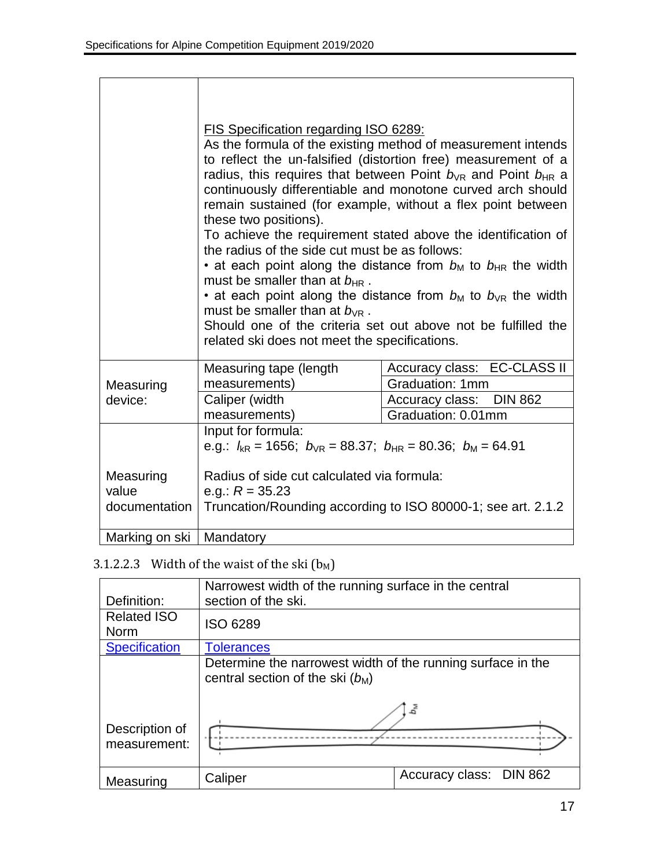|                            | FIS Specification regarding ISO 6289:<br>As the formula of the existing method of measurement intends<br>to reflect the un-falsified (distortion free) measurement of a<br>radius, this requires that between Point $b_{VR}$ and Point $b_{HR}$ a<br>continuously differentiable and monotone curved arch should<br>remain sustained (for example, without a flex point between<br>these two positions).<br>To achieve the requirement stated above the identification of<br>the radius of the side cut must be as follows:<br>• at each point along the distance from $b_M$ to $b_{HR}$ the width<br>must be smaller than at $b_{HR}$ .<br>• at each point along the distance from $b_M$ to $b_{VR}$ the width<br>must be smaller than at $b_{\text{VR}}$ .<br>Should one of the criteria set out above not be fulfilled the<br>related ski does not meet the specifications. |                             |
|----------------------------|--------------------------------------------------------------------------------------------------------------------------------------------------------------------------------------------------------------------------------------------------------------------------------------------------------------------------------------------------------------------------------------------------------------------------------------------------------------------------------------------------------------------------------------------------------------------------------------------------------------------------------------------------------------------------------------------------------------------------------------------------------------------------------------------------------------------------------------------------------------------------------|-----------------------------|
|                            | Measuring tape (length                                                                                                                                                                                                                                                                                                                                                                                                                                                                                                                                                                                                                                                                                                                                                                                                                                                         | Accuracy class: EC-CLASS II |
| Measuring                  | measurements)                                                                                                                                                                                                                                                                                                                                                                                                                                                                                                                                                                                                                                                                                                                                                                                                                                                                  | Graduation: 1mm             |
| device:                    | Caliper (width                                                                                                                                                                                                                                                                                                                                                                                                                                                                                                                                                                                                                                                                                                                                                                                                                                                                 | Accuracy class: DIN 862     |
|                            | measurements)                                                                                                                                                                                                                                                                                                                                                                                                                                                                                                                                                                                                                                                                                                                                                                                                                                                                  | Graduation: 0.01mm          |
|                            | Input for formula:<br>e.g.: $l_{kR}$ = 1656; $b_{VR}$ = 88.37; $b_{HR}$ = 80.36; $b_M$ = 64.91                                                                                                                                                                                                                                                                                                                                                                                                                                                                                                                                                                                                                                                                                                                                                                                 |                             |
| Measuring                  | Radius of side cut calculated via formula:                                                                                                                                                                                                                                                                                                                                                                                                                                                                                                                                                                                                                                                                                                                                                                                                                                     |                             |
| value                      | e.g.: $R = 35.23$                                                                                                                                                                                                                                                                                                                                                                                                                                                                                                                                                                                                                                                                                                                                                                                                                                                              |                             |
| documentation              | Truncation/Rounding according to ISO 80000-1; see art. 2.1.2                                                                                                                                                                                                                                                                                                                                                                                                                                                                                                                                                                                                                                                                                                                                                                                                                   |                             |
| Marking on ski   Mandatory |                                                                                                                                                                                                                                                                                                                                                                                                                                                                                                                                                                                                                                                                                                                                                                                                                                                                                |                             |

# <span id="page-17-0"></span>3.1.2.2.3 Width of the waist of the ski  $(b_M)$

|                      | Narrowest width of the running surface in the central                                             |                         |
|----------------------|---------------------------------------------------------------------------------------------------|-------------------------|
| Definition:          | section of the ski.                                                                               |                         |
| <b>Related ISO</b>   | <b>ISO 6289</b>                                                                                   |                         |
| <b>Norm</b>          |                                                                                                   |                         |
| <b>Specification</b> | <b>Tolerances</b>                                                                                 |                         |
|                      | Determine the narrowest width of the running surface in the<br>central section of the ski $(b_M)$ |                         |
| Description of       | چ                                                                                                 |                         |
| measurement:         |                                                                                                   |                         |
| Measuring            | Caliper                                                                                           | Accuracy class: DIN 862 |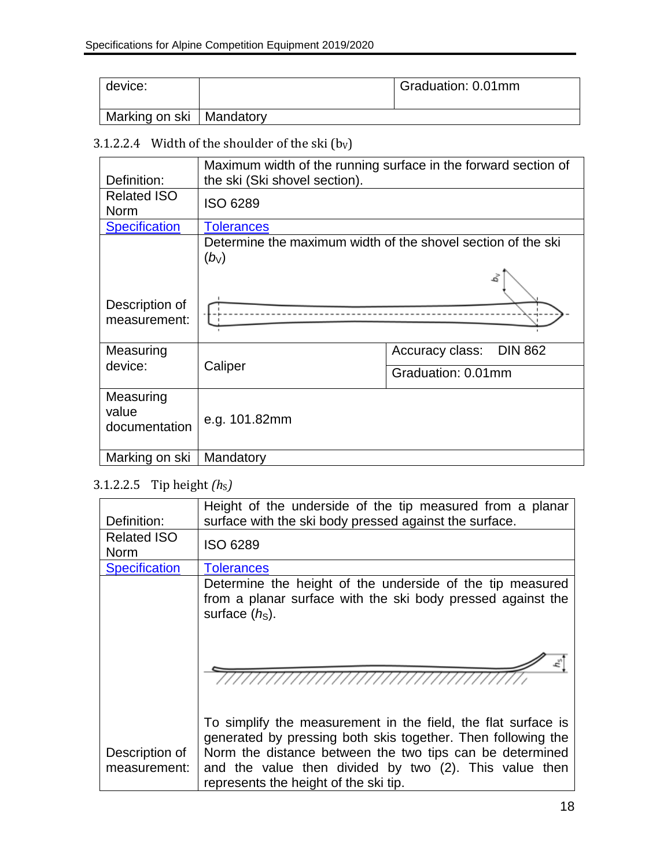| device:                    | Graduation: 0.01mm |
|----------------------------|--------------------|
| Marking on ski   Mandatory |                    |

# <span id="page-18-0"></span>3.1.2.2.4 Width of the shoulder of the ski  $(b_V)$

| Definition:                         | Maximum width of the running surface in the forward section of<br>the ski (Ski shovel section). |                         |
|-------------------------------------|-------------------------------------------------------------------------------------------------|-------------------------|
| <b>Related ISO</b><br><b>Norm</b>   | <b>ISO 6289</b>                                                                                 |                         |
|                                     |                                                                                                 |                         |
| <b>Specification</b>                | <b>Tolerances</b>                                                                               |                         |
|                                     | Determine the maximum width of the shovel section of the ski                                    |                         |
|                                     | $(b_{\vee})$                                                                                    |                         |
|                                     |                                                                                                 |                         |
| Description of<br>measurement:      |                                                                                                 |                         |
|                                     |                                                                                                 |                         |
| Measuring                           |                                                                                                 | Accuracy class: DIN 862 |
| device:                             | Caliper                                                                                         | Graduation: 0.01mm      |
| Measuring<br>value<br>documentation | e.g. 101.82mm                                                                                   |                         |
| Marking on ski                      | Mandatory                                                                                       |                         |
|                                     |                                                                                                 |                         |

# <span id="page-18-1"></span>3.1.2.2.5 Tip height *(h<sub>S</sub>)*

|                                | Height of the underside of the tip measured from a planar                                                                                                   |
|--------------------------------|-------------------------------------------------------------------------------------------------------------------------------------------------------------|
| Definition:                    | surface with the ski body pressed against the surface.                                                                                                      |
| <b>Related ISO</b>             | <b>ISO 6289</b>                                                                                                                                             |
| <b>Norm</b>                    |                                                                                                                                                             |
| <b>Specification</b>           | <b>Tolerances</b>                                                                                                                                           |
|                                | Determine the height of the underside of the tip measured                                                                                                   |
|                                | from a planar surface with the ski body pressed against the<br>surface $(hs)$ .                                                                             |
|                                |                                                                                                                                                             |
|                                |                                                                                                                                                             |
|                                | To simplify the measurement in the field, the flat surface is<br>generated by pressing both skis together. Then following the                               |
| Description of<br>measurement: | Norm the distance between the two tips can be determined<br>and the value then divided by two (2). This value then<br>represents the height of the ski tip. |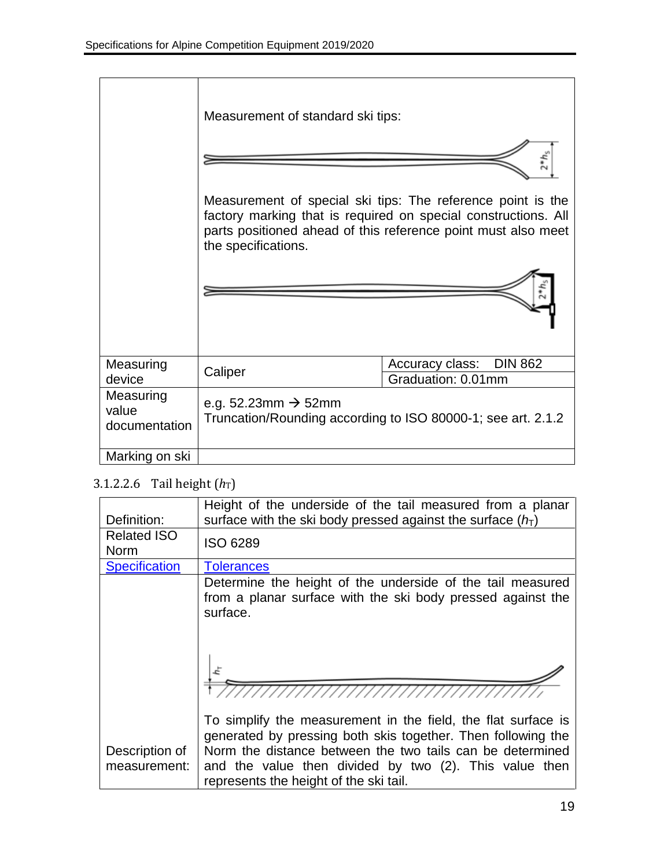|                                     | Measurement of standard ski tips: |                                                                                                                                                                                                |
|-------------------------------------|-----------------------------------|------------------------------------------------------------------------------------------------------------------------------------------------------------------------------------------------|
|                                     |                                   |                                                                                                                                                                                                |
|                                     |                                   |                                                                                                                                                                                                |
|                                     | the specifications.               | Measurement of special ski tips: The reference point is the<br>factory marking that is required on special constructions. All<br>parts positioned ahead of this reference point must also meet |
|                                     |                                   |                                                                                                                                                                                                |
| Measuring                           | Caliper                           | Accuracy class:<br><b>DIN 862</b>                                                                                                                                                              |
| device                              |                                   | Graduation: 0.01mm                                                                                                                                                                             |
| Measuring<br>value<br>documentation | e.g. 52.23mm $\rightarrow$ 52mm   | Truncation/Rounding according to ISO 80000-1; see art. 2.1.2                                                                                                                                   |
| Marking on ski                      |                                   |                                                                                                                                                                                                |

# <span id="page-19-0"></span>3.1.2.2.6 Tail height  $(h_T)$

| Definition:                       | Height of the underside of the tail measured from a planar<br>surface with the ski body pressed against the surface $(h_T)$                                                                                                                                                                    |
|-----------------------------------|------------------------------------------------------------------------------------------------------------------------------------------------------------------------------------------------------------------------------------------------------------------------------------------------|
| <b>Related ISO</b><br><b>Norm</b> | <b>ISO 6289</b>                                                                                                                                                                                                                                                                                |
| <b>Specification</b>              | <b>Tolerances</b>                                                                                                                                                                                                                                                                              |
|                                   | Determine the height of the underside of the tail measured<br>from a planar surface with the ski body pressed against the<br>surface.                                                                                                                                                          |
|                                   |                                                                                                                                                                                                                                                                                                |
| Description of<br>measurement:    | To simplify the measurement in the field, the flat surface is<br>generated by pressing both skis together. Then following the<br>Norm the distance between the two tails can be determined<br>and the value then divided by two (2). This value then<br>represents the height of the ski tail. |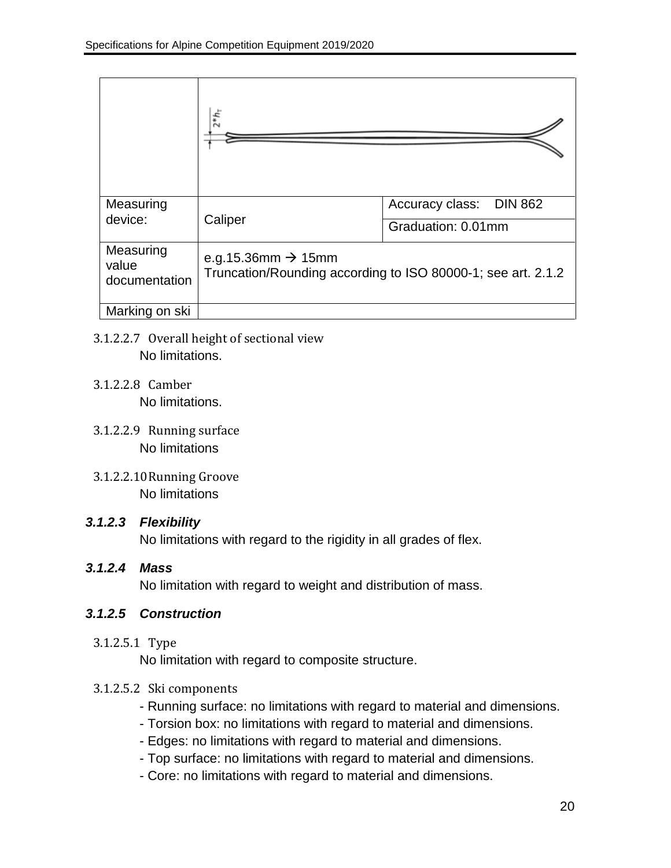|                                     | $2 * h_{T}$                                                                                    |                                   |
|-------------------------------------|------------------------------------------------------------------------------------------------|-----------------------------------|
| Measuring                           |                                                                                                | Accuracy class:<br><b>DIN 862</b> |
| device:                             | Caliper                                                                                        | Graduation: 0.01mm                |
| Measuring<br>value<br>documentation | e.g.15.36mm $\rightarrow$ 15mm<br>Truncation/Rounding according to ISO 80000-1; see art. 2.1.2 |                                   |
| Marking on ski                      |                                                                                                |                                   |

- 3.1.2.2.7 Overall height of sectional view No limitations.
- 3.1.2.2.8 Camber No limitations.
- 3.1.2.2.9 Running surface No limitations
- 3.1.2.2.10Running Groove No limitations

### *3.1.2.3 Flexibility*

No limitations with regard to the rigidity in all grades of flex.

### *3.1.2.4 Mass*

No limitation with regard to weight and distribution of mass.

### *3.1.2.5 Construction*

### 3.1.2.5.1 Type

No limitation with regard to composite structure.

### 3.1.2.5.2 Ski components

- Running surface: no limitations with regard to material and dimensions.
- Torsion box: no limitations with regard to material and dimensions.
- Edges: no limitations with regard to material and dimensions.
- Top surface: no limitations with regard to material and dimensions.
- Core: no limitations with regard to material and dimensions.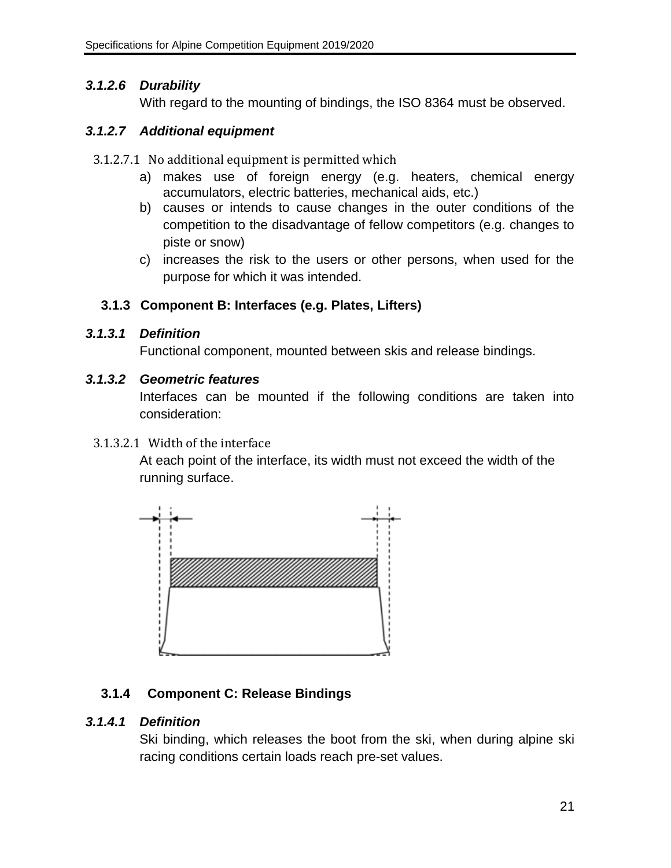### *3.1.2.6 Durability*

With regard to the mounting of bindings, the ISO 8364 must be observed.

### *3.1.2.7 Additional equipment*

- 3.1.2.7.1 No additional equipment is permitted which
	- a) makes use of foreign energy (e.g. heaters, chemical energy accumulators, electric batteries, mechanical aids, etc.)
	- b) causes or intends to cause changes in the outer conditions of the competition to the disadvantage of fellow competitors (e.g. changes to piste or snow)
	- c) increases the risk to the users or other persons, when used for the purpose for which it was intended.

### <span id="page-21-0"></span>**3.1.3 Component B: Interfaces (e.g. Plates, Lifters)**

### *3.1.3.1 Definition*

Functional component, mounted between skis and release bindings.

### *3.1.3.2 Geometric features*

Interfaces can be mounted if the following conditions are taken into consideration:

### <span id="page-21-2"></span>3.1.3.2.1 Width of the interface

At each point of the interface, its width must not exceed the width of the running surface.



# <span id="page-21-1"></span>**3.1.4 Component C: Release Bindings**

### *3.1.4.1 Definition*

Ski binding, which releases the boot from the ski, when during alpine ski racing conditions certain loads reach pre-set values.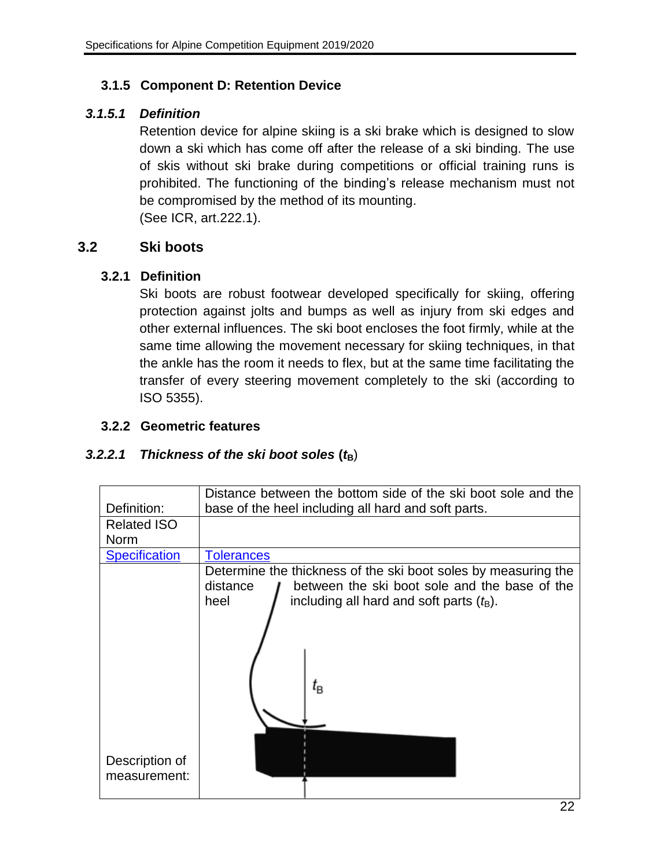### <span id="page-22-0"></span>**3.1.5 Component D: Retention Device**

### *3.1.5.1 Definition*

Retention device for alpine skiing is a ski brake which is designed to slow down a ski which has come off after the release of a ski binding. The use of skis without ski brake during competitions or official training runs is prohibited. The functioning of the binding's release mechanism must not be compromised by the method of its mounting. (See ICR, art.222.1).

### <span id="page-22-2"></span><span id="page-22-1"></span>**3.2 Ski boots**

### **3.2.1 Definition**

Ski boots are robust footwear developed specifically for skiing, offering protection against jolts and bumps as well as injury from ski edges and other external influences. The ski boot encloses the foot firmly, while at the same time allowing the movement necessary for skiing techniques, in that the ankle has the room it needs to flex, but at the same time facilitating the transfer of every steering movement completely to the ski (according to ISO 5355).

### <span id="page-22-3"></span>**3.2.2 Geometric features**

### <span id="page-22-4"></span>*3.2.2.1 Thickness of the ski boot soles* **(***t***B**)

| Definition:                       | Distance between the bottom side of the ski boot sole and the<br>base of the heel including all hard and soft parts.                                                                                                    |  |
|-----------------------------------|-------------------------------------------------------------------------------------------------------------------------------------------------------------------------------------------------------------------------|--|
| <b>Related ISO</b><br><b>Norm</b> |                                                                                                                                                                                                                         |  |
| <b>Specification</b>              | <b>Tolerances</b>                                                                                                                                                                                                       |  |
|                                   | Determine the thickness of the ski boot soles by measuring the<br>between the ski boot sole and the base of the<br>distance<br>including all hard and soft parts $(tB)$ .<br>heel<br>$t_{\scriptscriptstyle\textrm{B}}$ |  |
| Description of<br>measurement:    |                                                                                                                                                                                                                         |  |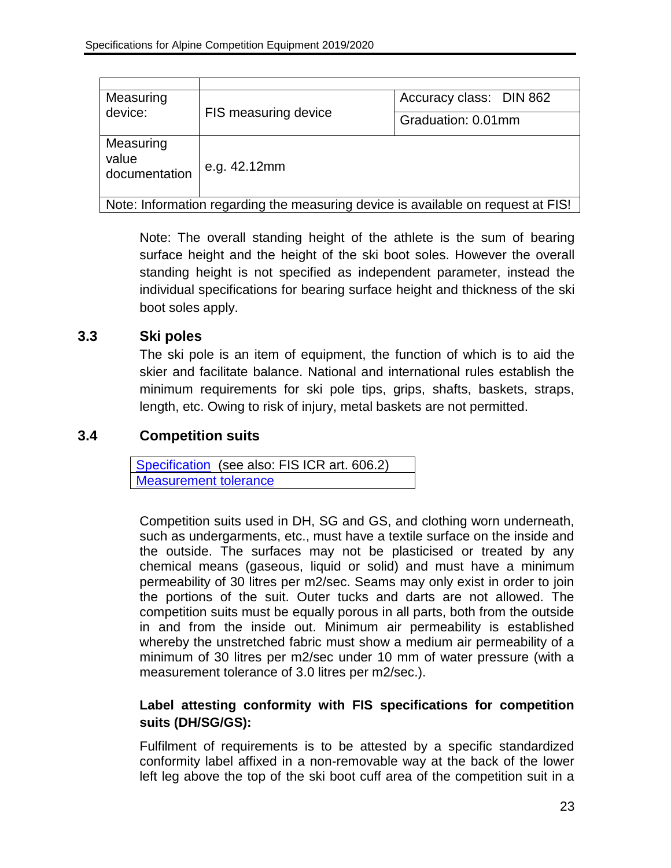| Measuring<br>device:                                                             | FIS measuring device | Accuracy class: DIN 862 |  |
|----------------------------------------------------------------------------------|----------------------|-------------------------|--|
|                                                                                  |                      | Graduation: 0.01mm      |  |
|                                                                                  |                      |                         |  |
| Measuring                                                                        |                      |                         |  |
| value                                                                            |                      |                         |  |
| documentation                                                                    | e.g. 42.12mm         |                         |  |
|                                                                                  |                      |                         |  |
| Note: Information regarding the measuring device is available on request at FIS! |                      |                         |  |

Note: The overall standing height of the athlete is the sum of bearing surface height and the height of the ski boot soles. However the overall standing height is not specified as independent parameter, instead the individual specifications for bearing surface height and thickness of the ski boot soles apply.

### <span id="page-23-0"></span>**3.3 Ski poles**

The ski pole is an item of equipment, the function of which is to aid the skier and facilitate balance. National and international rules establish the minimum requirements for ski pole tips, grips, shafts, baskets, straps, length, etc. Owing to risk of injury, metal baskets are not permitted.

### <span id="page-23-1"></span>**3.4 Competition suits**

[Specification](#page-11-1) (see also: FIS ICR art. 606.2) [Measurement tolerance](#page-12-5)

Competition suits used in DH, SG and GS, and clothing worn underneath, such as undergarments, etc., must have a textile surface on the inside and the outside. The surfaces may not be plasticised or treated by any chemical means (gaseous, liquid or solid) and must have a minimum permeability of 30 litres per m2/sec. Seams may only exist in order to join the portions of the suit. Outer tucks and darts are not allowed. The competition suits must be equally porous in all parts, both from the outside in and from the inside out. Minimum air permeability is established whereby the unstretched fabric must show a medium air permeability of a minimum of 30 litres per m2/sec under 10 mm of water pressure (with a measurement tolerance of 3.0 litres per m2/sec.).

### **Label attesting conformity with FIS specifications for competition suits (DH/SG/GS):**

Fulfilment of requirements is to be attested by a specific standardized conformity label affixed in a non-removable way at the back of the lower left leg above the top of the ski boot cuff area of the competition suit in a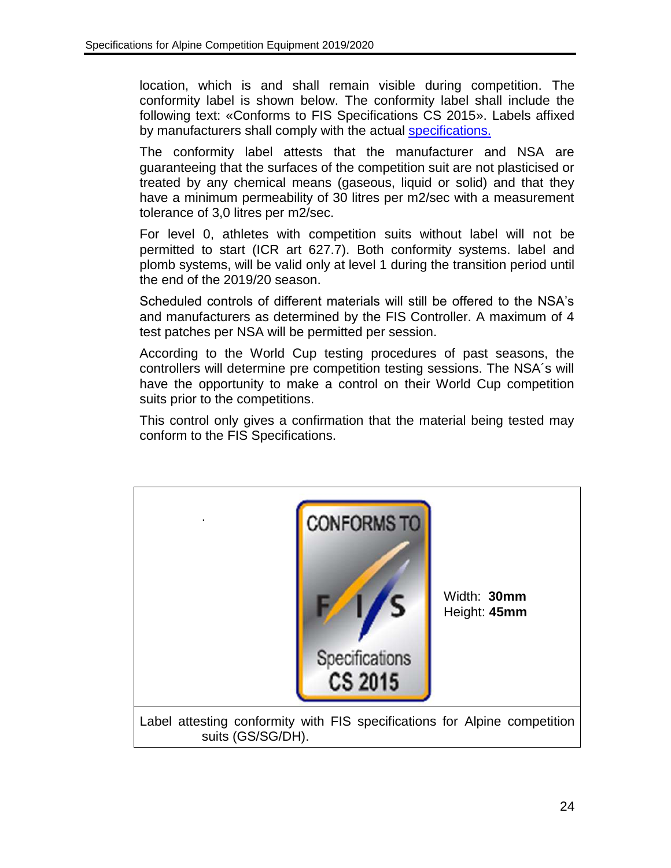location, which is and shall remain visible during competition. The conformity label is shown below. The conformity label shall include the following text: «Conforms to FIS Specifications CS 2015». Labels affixed by manufacturers shall comply with the actual [specifications.](#page-11-1)

The conformity label attests that the manufacturer and NSA are guaranteeing that the surfaces of the competition suit are not plasticised or treated by any chemical means (gaseous, liquid or solid) and that they have a minimum permeability of 30 litres per m2/sec with a measurement tolerance of 3,0 litres per m2/sec.

For level 0, athletes with competition suits without label will not be permitted to start (ICR art 627.7). Both conformity systems. label and plomb systems, will be valid only at level 1 during the transition period until the end of the 2019/20 season.

Scheduled controls of different materials will still be offered to the NSA's and manufacturers as determined by the FIS Controller. A maximum of 4 test patches per NSA will be permitted per session.

According to the World Cup testing procedures of past seasons, the controllers will determine pre competition testing sessions. The NSA´s will have the opportunity to make a control on their World Cup competition suits prior to the competitions.

This control only gives a confirmation that the material being tested may conform to the FIS Specifications.

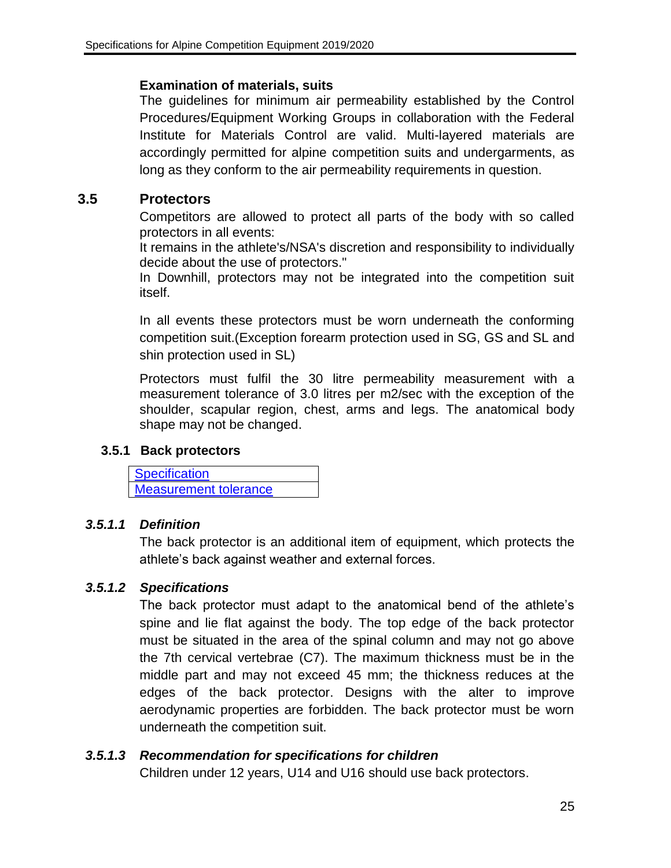#### **Examination of materials, suits**

The guidelines for minimum air permeability established by the Control Procedures/Equipment Working Groups in collaboration with the Federal Institute for Materials Control are valid. Multi-layered materials are accordingly permitted for alpine competition suits and undergarments, as long as they conform to the air permeability requirements in question.

### <span id="page-25-0"></span>**3.5 Protectors**

Competitors are allowed to protect all parts of the body with so called protectors in all events:

It remains in the athlete's/NSA's discretion and responsibility to individually decide about the use of protectors."

In Downhill, protectors may not be integrated into the competition suit itself.

In all events these protectors must be worn underneath the conforming competition suit.(Exception forearm protection used in SG, GS and SL and shin protection used in SL)

Protectors must fulfil the 30 litre permeability measurement with a measurement tolerance of 3.0 litres per m2/sec with the exception of the shoulder, scapular region, chest, arms and legs. The anatomical body shape may not be changed.

### <span id="page-25-1"></span>**3.5.1 Back protectors**

**[Specification](#page-12-0)** [Measurement tolerance](#page-12-2)

### *3.5.1.1 Definition*

The back protector is an additional item of equipment, which protects the athlete's back against weather and external forces.

### *3.5.1.2 Specifications*

The back protector must adapt to the anatomical bend of the athlete's spine and lie flat against the body. The top edge of the back protector must be situated in the area of the spinal column and may not go above the 7th cervical vertebrae (C7). The maximum thickness must be in the middle part and may not exceed 45 mm; the thickness reduces at the edges of the back protector. Designs with the alter to improve aerodynamic properties are forbidden. The back protector must be worn underneath the competition suit.

### *3.5.1.3 Recommendation for specifications for children*

Children under 12 years, U14 and U16 should use back protectors.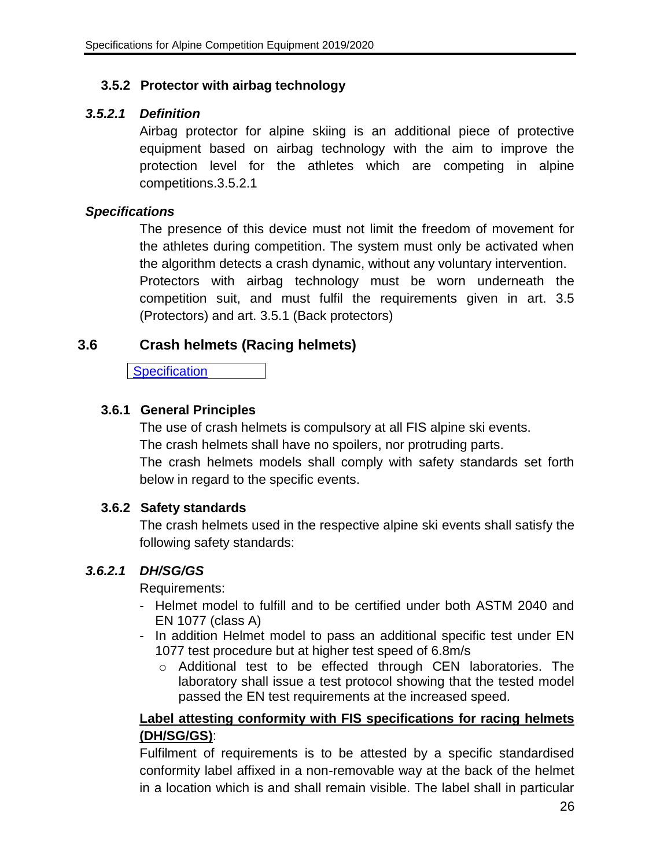### <span id="page-26-0"></span>**3.5.2 Protector with airbag technology**

### *3.5.2.1 Definition*

Airbag protector for alpine skiing is an additional piece of protective equipment based on airbag technology with the aim to improve the protection level for the athletes which are competing in alpine competitions.3.5.2.1

### *Specifications*

The presence of this device must not limit the freedom of movement for the athletes during competition. The system must only be activated when the algorithm detects a crash dynamic, without any voluntary intervention. Protectors with airbag technology must be worn underneath the competition suit, and must fulfil the requirements given in art. 3.5 (Protectors) and art. 3.5.1 (Back protectors)

### <span id="page-26-1"></span>**3.6 Crash helmets (Racing helmets)**

**[Specification](#page-11-2)** 

### <span id="page-26-2"></span>**3.6.1 General Principles**

The use of crash helmets is compulsory at all FIS alpine ski events. The crash helmets shall have no spoilers, nor protruding parts. The crash helmets models shall comply with safety standards set forth below in regard to the specific events.

### <span id="page-26-3"></span>**3.6.2 Safety standards**

The crash helmets used in the respective alpine ski events shall satisfy the following safety standards:

### <span id="page-26-4"></span>*3.6.2.1 DH/SG/GS*

Requirements:

- Helmet model to fulfill and to be certified under both ASTM 2040 and EN 1077 (class A)
- In addition Helmet model to pass an additional specific test under EN 1077 test procedure but at higher test speed of 6.8m/s
	- o Additional test to be effected through CEN laboratories. The laboratory shall issue a test protocol showing that the tested model passed the EN test requirements at the increased speed.

### **Label attesting conformity with FIS specifications for racing helmets (DH/SG/GS)**:

Fulfilment of requirements is to be attested by a specific standardised conformity label affixed in a non-removable way at the back of the helmet in a location which is and shall remain visible. The label shall in particular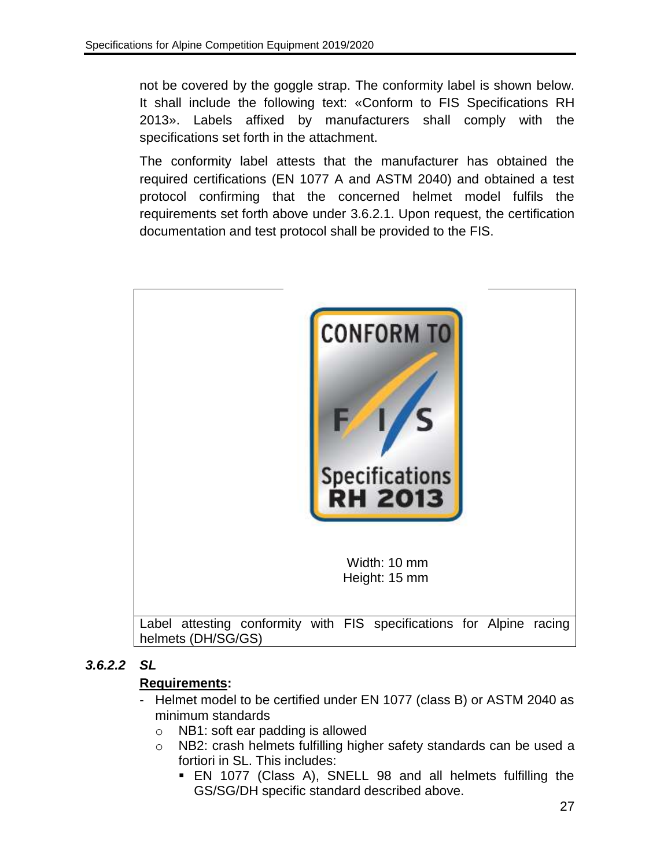not be covered by the goggle strap. The conformity label is shown below. It shall include the following text: «Conform to FIS Specifications RH 2013». Labels affixed by manufacturers shall comply with the specifications set forth in the attachment.

The conformity label attests that the manufacturer has obtained the required certifications (EN 1077 A and ASTM 2040) and obtained a test protocol confirming that the concerned helmet model fulfils the requirements set forth above under [3.6.2.1.](#page-26-4) Upon request, the certification documentation and test protocol shall be provided to the FIS.



### <span id="page-27-0"></span>*3.6.2.2 SL*

### **Requirements:**

- Helmet model to be certified under EN 1077 (class B) or ASTM 2040 as minimum standards
	- o NB1: soft ear padding is allowed
	- o NB2: crash helmets fulfilling higher safety standards can be used a fortiori in SL. This includes:
		- EN 1077 (Class A), SNELL 98 and all helmets fulfilling the GS/SG/DH specific standard described above.